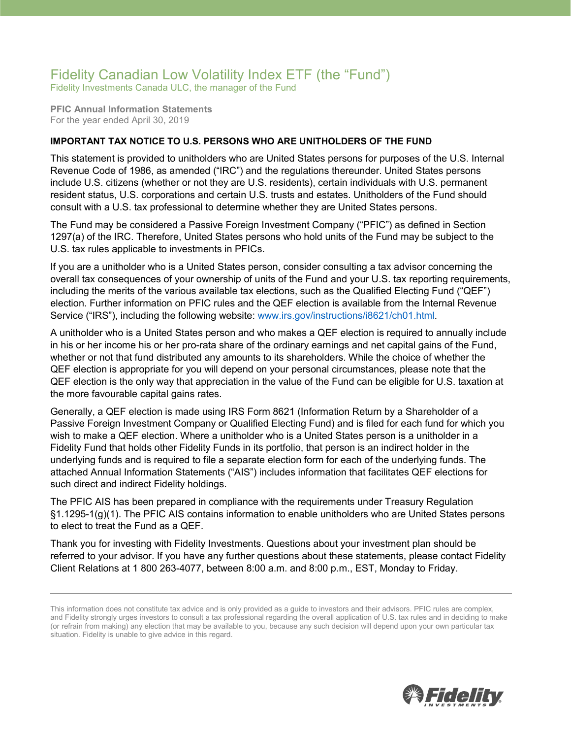## Fidelity Canadian Low Volatility Index ETF (the "Fund")

Fidelity Investments Canada ULC, the manager of the Fund

**PFIC Annual Information Statements** For the year ended April 30, 2019

## **IMPORTANT TAX NOTICE TO U.S. PERSONS WHO ARE UNITHOLDERS OF THE FUND**

This statement is provided to unitholders who are United States persons for purposes of the U.S. Internal Revenue Code of 1986, as amended ("IRC") and the regulations thereunder. United States persons include U.S. citizens (whether or not they are U.S. residents), certain individuals with U.S. permanent resident status, U.S. corporations and certain U.S. trusts and estates. Unitholders of the Fund should consult with a U.S. tax professional to determine whether they are United States persons.

The Fund may be considered a Passive Foreign Investment Company ("PFIC") as defined in Section 1297(a) of the IRC. Therefore, United States persons who hold units of the Fund may be subject to the U.S. tax rules applicable to investments in PFICs.

If you are a unitholder who is a United States person, consider consulting a tax advisor concerning the overall tax consequences of your ownership of units of the Fund and your U.S. tax reporting requirements, including the merits of the various available tax elections, such as the Qualified Electing Fund ("QEF") election. Further information on PFIC rules and the QEF election is available from the Internal Revenue Service ("IRS"), including the following website: [www.irs.gov/instructions/i8621/ch01.html.](http://www.irs.gov/instructions/i8621/ch01.html)

A unitholder who is a United States person and who makes a QEF election is required to annually include in his or her income his or her pro-rata share of the ordinary earnings and net capital gains of the Fund, whether or not that fund distributed any amounts to its shareholders. While the choice of whether the QEF election is appropriate for you will depend on your personal circumstances, please note that the QEF election is the only way that appreciation in the value of the Fund can be eligible for U.S. taxation at the more favourable capital gains rates.

Generally, a QEF election is made using IRS Form 8621 (Information Return by a Shareholder of a Passive Foreign Investment Company or Qualified Electing Fund) and is filed for each fund for which you wish to make a QEF election. Where a unitholder who is a United States person is a unitholder in a Fidelity Fund that holds other Fidelity Funds in its portfolio, that person is an indirect holder in the underlying funds and is required to file a separate election form for each of the underlying funds. The attached Annual Information Statements ("AIS") includes information that facilitates QEF elections for such direct and indirect Fidelity holdings.

The PFIC AIS has been prepared in compliance with the requirements under Treasury Regulation §1.1295-1(g)(1). The PFIC AIS contains information to enable unitholders who are United States persons to elect to treat the Fund as a QEF.

Thank you for investing with Fidelity Investments. Questions about your investment plan should be referred to your advisor. If you have any further questions about these statements, please contact Fidelity Client Relations at 1 800 263-4077, between 8:00 a.m. and 8:00 p.m., EST, Monday to Friday.



This information does not constitute tax advice and is only provided as a guide to investors and their advisors. PFIC rules are complex, and Fidelity strongly urges investors to consult a tax professional regarding the overall application of U.S. tax rules and in deciding to make (or refrain from making) any election that may be available to you, because any such decision will depend upon your own particular tax situation. Fidelity is unable to give advice in this regard.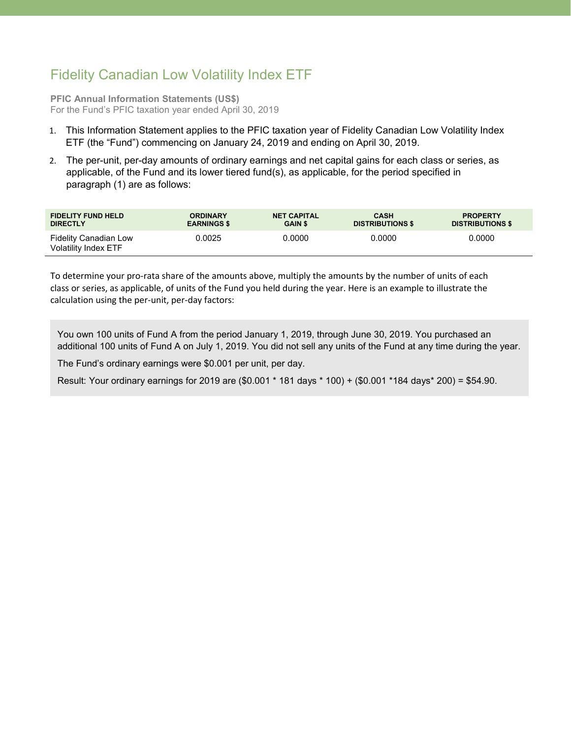## Fidelity Canadian Low Volatility Index ETF

**PFIC Annual Information Statements (US\$)** For the Fund's PFIC taxation year ended April 30, 2019

- 1. This Information Statement applies to the PFIC taxation year of Fidelity Canadian Low Volatility Index ETF (the "Fund") commencing on January 24, 2019 and ending on April 30, 2019.
- 2. The per-unit, per-day amounts of ordinary earnings and net capital gains for each class or series, as applicable, of the Fund and its lower tiered fund(s), as applicable, for the period specified in paragraph (1) are as follows:

| <b>FIDELITY FUND HELD</b>                            | <b>ORDINARY</b>    | <b>NET CAPITAL</b> | <b>CASH</b>             | <b>PROPERTY</b>         |
|------------------------------------------------------|--------------------|--------------------|-------------------------|-------------------------|
| <b>DIRECTLY</b>                                      | <b>EARNINGS \$</b> | <b>GAIN \$</b>     | <b>DISTRIBUTIONS \$</b> | <b>DISTRIBUTIONS \$</b> |
| <b>Fidelity Canadian Low</b><br>Volatility Index ETF | 0.0025             | 0.0000             | 0.0000                  | 0.0000                  |

To determine your pro-rata share of the amounts above, multiply the amounts by the number of units of each class or series, as applicable, of units of the Fund you held during the year. Here is an example to illustrate the calculation using the per-unit, per-day factors:

You own 100 units of Fund A from the period January 1, 2019, through June 30, 2019. You purchased an additional 100 units of Fund A on July 1, 2019. You did not sell any units of the Fund at any time during the year.

The Fund's ordinary earnings were \$0.001 per unit, per day.

Result: Your ordinary earnings for 2019 are (\$0.001 \* 181 days \* 100) + (\$0.001 \*184 days\* 200) = \$54.90.